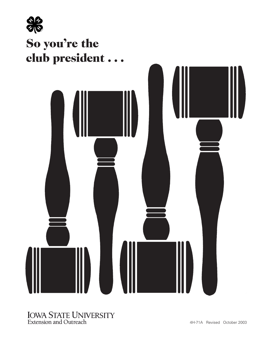

### IOWA STATE UNIVERSITY Extension and Outreach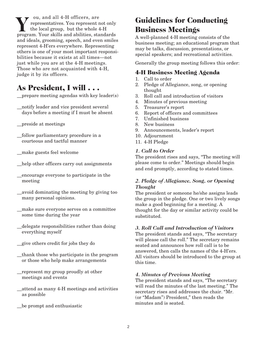v ou, and all 4-H officers, are representatives. You represent not only the local group, but the whole 4-H **V** cut, and all 4-H officers, are<br>the local group, but the whole 4-H program. Your skills and abilities, standards and ideals, grooming, speech, and even smiles represent 4-H'ers everywhere. Representing others is one of your most important responsibilities because it exists at all times—not just while you are at the 4-H meetings. Those who are not acquainted with 4-H, judge it by its officers.

# **As President, I will . . .**

- \_\_prepare meeting agendas with key leader(s)
- \_\_notify leader and vice president several days before a meeting if I must be absent
- \_\_preside at meetings
- \_\_follow parliamentary procedure in a courteous and tactful manner
- \_\_make guests feel welcome
- help other officers carry out assignments
- \_\_encourage everyone to participate in the meeting
- \_\_avoid dominating the meeting by giving too many personal opinions.
- \_\_make sure everyone serves on a committee some time during the year
- \_\_delegate responsibilities rather than doing everything myself
- \_\_give others credit for jobs they do
- \_\_thank those who participate in the program or those who help make arrangements
- \_\_represent my group proudly at other meetings and events
- \_\_attend as many 4-H meetings and activities as possible
- be prompt and enthusiastic

# **Guidelines for Conducting Business Meetings**

A well-planned 4-H meeting consists of the business meeting; an educational program that may be talks, discussion, presentations, or special speakers; and recreational activities.

Generally the group meeting follows this order:

### **4-H Business Meeting Agenda**

- 1. Call to order
- 2. Pledge of Allegiance, song, or opening thought
- 3. Roll call and introduction of visitors
- 4. Minutes of previous meeting
- 5. Treasurer's report
- 6. Report of officers and committees
- 7. Unfinished business
- 8. New business
- 9. Announcements, leader's report
- 10. Adjournment
- 11. 4-H Pledge

#### *1. Call to Order*

The president rises and says, "The meeting will please come to order." Meetings should begin and end promptly, according to stated times.

#### *2. Pledge of Allegiance, Song, or Opening Thought*

The president or someone he/she assigns leads the group in the pledge. One or two lively songs make a good beginning for a meeting. A thought for the day or similar activity could be substituted.

#### *3. Roll Call and Introduction of Visitors*

The president stands and says, "The secretary will please call the roll." The secretary remains seated and announces how roll call is to be answered, then calls the names of the 4-H'ers. All visitors should be introduced to the group at this time.

#### *4. Minutes of Previous Meeting*

The president stands and says, "The secretary will read the minutes of the last meeting." The secretary rises and addresses the chair. "Mr. (or "Madam") President," then reads the minutes and is seated.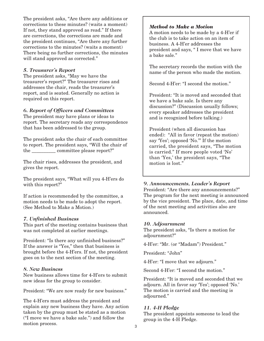The president asks, "Are there any additions or corrections to these minutes? (waits a moment) If not, they stand approved as read." If there are corrections, the corrections are made and the president continues, "Are there any further corrections to the minutes? (waits a moment) There being no further corrections, the minutes will stand approved as corrected."

#### *5. Treasurer's Report*

The president asks, "May we have the treasurer's report?" The treasurer rises and addresses the chair, reads the treasurer's report, and is seated. Generally no action is required on this report.

#### *6. Report of Officers and Committees*

The president may have plans or ideas to report. The secretary reads any correspondence that has been addressed to the group.

The president asks the chair of each committee to report. The president says, "Will the chair of the \_\_\_\_\_\_\_\_\_\_ committee please report?"

The chair rises, addresses the president, and gives the report.

The president says, "What will you 4-H'ers do with this report?"

If action is recommended by the committee, a motion needs to be made to adopt the report. (See Method to Make a Motion.)

#### *7. Unfinished Business*

This part of the meeting contains business that was not completed at earlier meetings.

President: "Is there any unfinished business?" If the answer is "Yes," then that business is brought before the 4-H'ers. If not, the president goes on to the next section of the meeting.

#### *8. New Business*

New business allows time for 4-H'ers to submit new ideas for the group to consider.

President: "We are now ready for new business."

The 4-H'ers must address the president and explain any new business they have. Any action taken by the group must be stated as a motion ("I move we have a bake sale.") and follow the motion process.

#### *Method to Make a Motion*

A motion needs to be made by a 4-H'er if the club is to take action on an item of business. A 4-H'er addresses the president and says, " I move that we have a bake sale."

The secretary records the motion with the name of the person who made the motion.

Second 4-H'er: "I second the motion."

President: "It is moved and seconded that we have a bake sale. Is there any discussion?" (Discussion usually follows; every speaker addresses the president and is recognized before talking.)

President (when all discussion has ended): "All in favor (repeat the motion) say 'Yes'; opposed 'No.'" If the motion carried, the president says, "The motion is carried." If more people voted 'No' than 'Yes,' the president says, "The motion is lost."

#### *9. Announcements, Leader's Report*

President: "Are there any announcements?" The program for the next meeting is announced by the vice president. The place, date, and time of the next meeting and activities also are announced.

#### *10. Adjournment*

The president asks, "Is there a motion for adjournment?"

4-H'er: "Mr. (or "Madam") President."

President: "John"

4-H'er: "I move that we adjourn."

Second 4-H'er: "I second the motion."

President: "It is moved and seconded that we adjourn. All in favor say 'Yes'; opposed 'No.' The motion is carried and the meeting is adjourned."

#### *11. 4-H Pledge*

The president appoints someone to lead the group in the 4-H Pledge.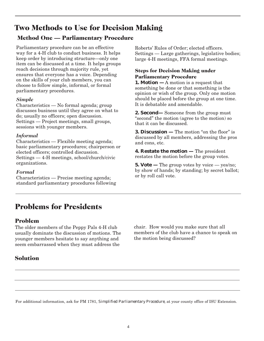# **Two Methods to Use for Decision Making**

### **Method One — Parliamentary Procedure**

Parliamentary procedure can be an effective way for a 4-H club to conduct business. It helps keep order by introducing structure—only one item can be discussed at a time. It helps groups reach decisions through majority rule, yet ensures that everyone has a voice. Depending on the skills of your club members, you can choose to follow simple, informal, or formal parliamentary procedures.

#### *Simple*

Characteristics — No formal agenda; group discusses business until they agree on what to do; usually no officers; open discussion. Settings — Project meetings, small groups, sessions with younger members.

#### *Informal*

Characteristics — Flexible meeting agenda; basic parliamentary procedures; chairperson or elected officers; controlled discussion. Settings — 4-H meetings, school/church/civic organizations.

#### *Formal*

Characteristics — Precise meeting agenda; standard parliamentary procedures following Roberts' Rules of Order; elected officers. Settings — Large gatherings, legislative bodies; large 4-H meetings, FFA formal meetings.

### **Steps for Decision Making under Parliamentary Procedure**

**1. Motion —** A motion is a request that something be done or that something is the opinion or wish of the group. Only one motion should be placed before the group at one time. It is debatable and amendable.

**2. Second—** Someone from the group must "second" the motion (agree to the motion) so that it can be discussed.

**3. Discussion —** The motion "on the floor" is discussed by all members, addressing the pros and cons, etc.

**4. Restate the motion —** The president restates the motion before the group votes.

**5. Vote** — The group votes by voice — yes/no; by show of hands; by standing; by secret ballot; or by roll call vote.

# **Problems for Presidents**

### **Problem**

The older members of the Peppy Pals 4-H club usually dominate the discussion of motions. The younger members hesitate to say anything and seem embarrassed when they must address the

### **Solution**

chair. How would you make sure that all members of the club have a chance to speak on the motion being discussed?

For additional information, ask for PM 1781, *[Simplified Parliamentary Procedure](https://store.extension.iastate.edu/product/5347)*, at your county office of ISU Extension.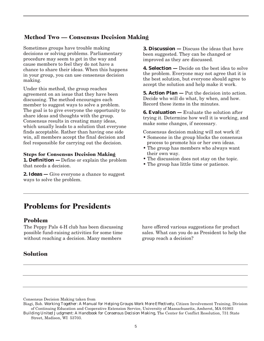### **Method Two — Consensus Decision Making**

Sometimes groups have trouble making decisions or solving problems. Parliamentary procedure may seem to get in the way and cause members to feel they do not have a chance to share their ideas. When this happens in your group, you can use consensus decision making.

Under this method, the group reaches agreement on an issue that they have been discussing. The method encourages each member to suggest ways to solve a problem. The goal is to give everyone the opportunity to share ideas and thoughts with the group. Consensus results in creating many ideas, which usually leads to a solution that everyone finds acceptable. Rather than having one side win, all members accept the final decision and feel responsible for carrying out the decision.

#### **Steps for Consensus Decision Making**

**1. Definition —** Define or explain the problem that needs a decision.

**2. Ideas** — Give everyone a chance to suggest ways to solve the problem.

**3. Discussion —** Discuss the ideas that have been suggested. They can be changed or improved as they are discussed.

**4. Selection —** Decide on the best idea to solve the problem. Everyone may not agree that it is the best solution, but everyone should agree to accept the solution and help make it work.

**5. Action Plan —** Put the decision into action. Decide who will do what, by when, and how. Record these items in the minutes.

**6. Evaluation —** Evaluate the solution after trying it. Determine how well it is working, and make some changes, if necessary.

Consensus decision making will not work if:

- Someone in the group blocks the consensus process to promote his or her own ideas.
- The group has members who always want their own way.
- The discussion does not stay on the topic.
- The group has little time or patience.

### **Problems for Presidents**

#### **Problem**

The Peppy Pals 4-H club has been discussing possible fund-raising activities for some time without reaching a decision. Many members

#### **Solution**

have offered various suggestions for product sales. What can you do as President to help the group reach a decision?

Consensus Decision Making taken from

Biagi, Bob. *Working Together: A Manual for Helping Groups Work More Effectively,* Citizen Involvement Training, Division of Continuing Education and Cooperative Extension Service, University of Massachusetts, Amherst, MA 01003 *Building United Judgment: A Handbook for Consensus Decision Making,* The Center for Conflict Resolution, 731 State Street, Madison, WI 53703.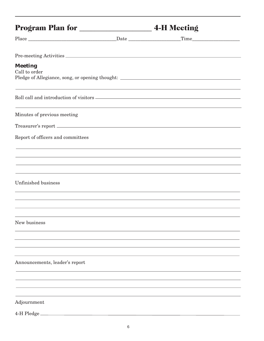| Pre-meeting Activities                                                            |                                                                                   |  |
|-----------------------------------------------------------------------------------|-----------------------------------------------------------------------------------|--|
| <b>Meeting</b><br>Call to order                                                   | Pledge of Allegiance, song, or opening thought: _________________________________ |  |
| ,我们也不能在这里的时候,我们也不能在这里的时候,我们也不能会在这里的时候,我们也不能会在这里的时候,我们也不能会在这里的时候,我们也不能会在这里的时候,我们也不 |                                                                                   |  |
| Minutes of previous meeting                                                       | ,我们也不会有什么。""我们的人,我们也不会有什么?""我们的人,我们也不会有什么?""我们的人,我们也不会有什么?""我们的人,我们也不会有什么?""我们的人  |  |
|                                                                                   |                                                                                   |  |
| Report of officers and committees                                                 |                                                                                   |  |
| <u> 1989 - Johann Stoff, amerikansk politiker (d. 1989)</u>                       |                                                                                   |  |
| ,我们也不会有什么。""我们的人,我们也不会有什么?""我们的人,我们也不会有什么?""我们的人,我们也不会有什么?""我们的人,我们也不会有什么?""我们的人  |                                                                                   |  |
| Unfinished business                                                               |                                                                                   |  |
|                                                                                   |                                                                                   |  |
|                                                                                   |                                                                                   |  |
| New business                                                                      |                                                                                   |  |
|                                                                                   |                                                                                   |  |
|                                                                                   |                                                                                   |  |
| Announcements, leader's report                                                    |                                                                                   |  |
|                                                                                   |                                                                                   |  |
|                                                                                   |                                                                                   |  |
| Adjournment                                                                       |                                                                                   |  |
| 4-H Pledge                                                                        |                                                                                   |  |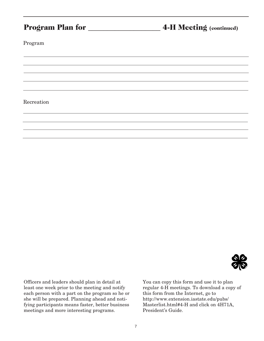|            | 4-H Meeting (continued) |
|------------|-------------------------|
| Program    |                         |
|            |                         |
|            |                         |
|            |                         |
| Recreation |                         |
|            |                         |



Officers and leaders should plan in detail at least one week prior to the meeting and notify each person with a part on the program so he or she will be prepared. Planning ahead and notifying participants means faster, better business meetings and more interesting programs.

You can copy this form and use it to plan regular 4-H meetings. To download a copy of this form from the Internet, go to [http://www.extension.iastate.edu/pubs/](https://store.extension.iastate.edu/product/100) Masterlist.html#4-H and click on 4H71A, President's Guide.